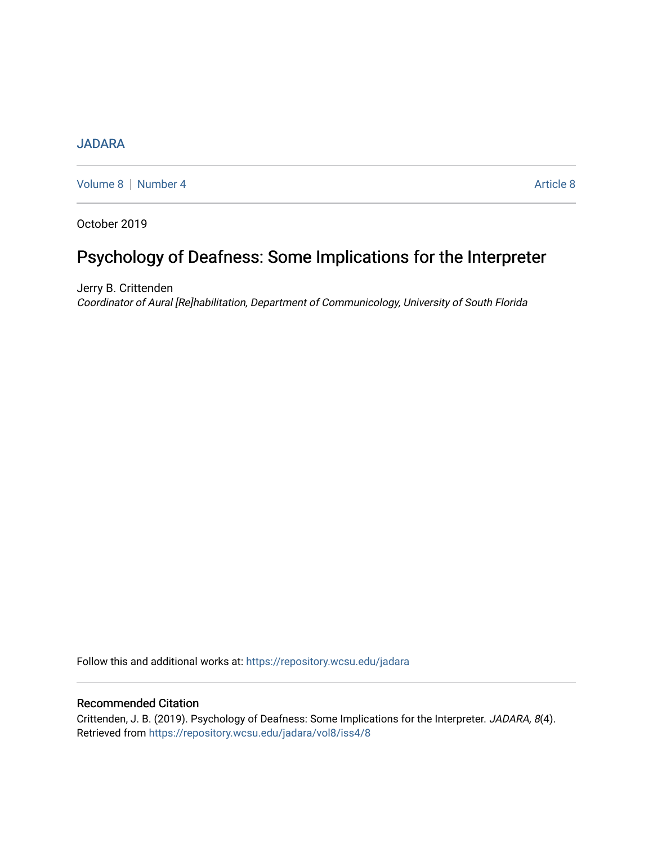## **[JADARA](https://repository.wcsu.edu/jadara)**

[Volume 8](https://repository.wcsu.edu/jadara/vol8) | [Number 4](https://repository.wcsu.edu/jadara/vol8/iss4) Article 8

October 2019

# Psychology of Deafness: Some Implications for the Interpreter

Jerry B. Crittenden Coordinator of Aural [Re]habilitation, Department of Communicology, University of South Florida

Follow this and additional works at: [https://repository.wcsu.edu/jadara](https://repository.wcsu.edu/jadara?utm_source=repository.wcsu.edu%2Fjadara%2Fvol8%2Fiss4%2F8&utm_medium=PDF&utm_campaign=PDFCoverPages)

### Recommended Citation

Crittenden, J. B. (2019). Psychology of Deafness: Some Implications for the Interpreter. JADARA, 8(4). Retrieved from [https://repository.wcsu.edu/jadara/vol8/iss4/8](https://repository.wcsu.edu/jadara/vol8/iss4/8?utm_source=repository.wcsu.edu%2Fjadara%2Fvol8%2Fiss4%2F8&utm_medium=PDF&utm_campaign=PDFCoverPages)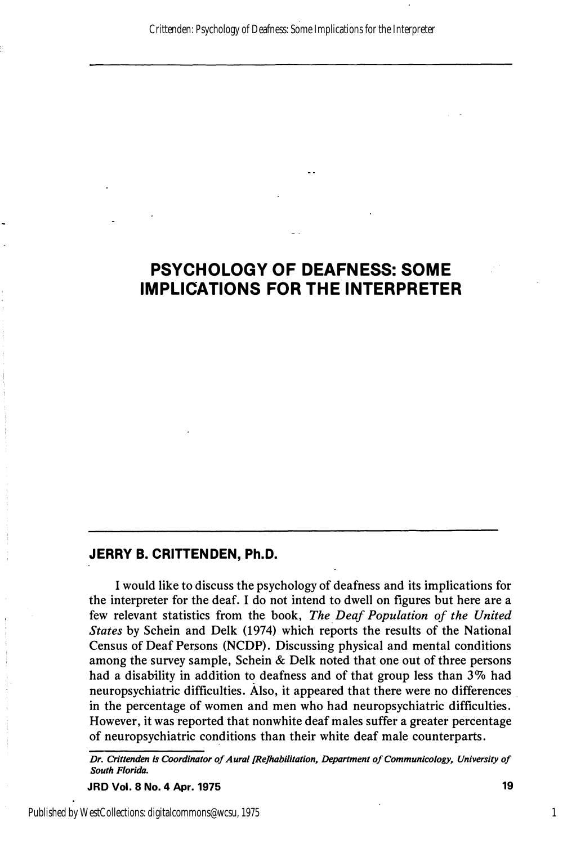# **PSYCHOLOGY OF DEAFNESS: SOME IMPLICATIONS FOR THE INTERPRETER**

#### **JERRY B. CRITTENDEN, Ph.D.**

I would like to discuss the psychology of deafness and its implications for the interpreter for the deaf. I do not intend to dwell on figures but here are a few relevant statistics from the book, *The. Deaf Population of the United States* by Schein and Delk (1974) which reports the results of the National Census of Deaf Persons (NCDP). Discussing physical and mental conditions among the survey sample, Schein  $&$  Delk noted that one out of three persons had a disability in addition to deafness and of that group less than 3% had neuropsychiatric difficulties. Also, it appeared that there were no differences in the percentage of women and men who had neuropsychiatric difficulties. However, it was reported that nonwhite deaf males suffer a greater percentage of neuropsychiatric conditions than their white deaf male counterparts.

*Dr. Crittenden is Coordinator of Aural [Re]habilitation, Department of Communicology, University of South Florida.* 

**JRD Vol. 8 No. 4 Apr. 1975 19**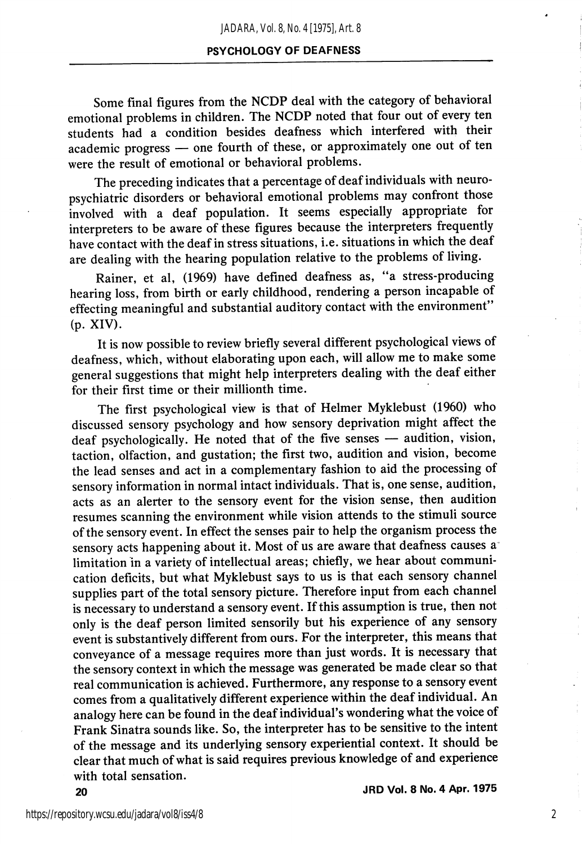Some final figures from the NCDP deal with the category of behavioral emotional problems in children. The NCDP noted that four out of every ten students had a condition besides deafness which interfered with their academic progress — one fourth of these, or approximately one out of ten were the result of emotional or behavioral problems.

The preceding indicates that a percentage of deaf individuals with neuropsychiatric disorders or behavioral emotional problems may confront those involved with a deaf population. It seems especially appropriate for interpreters to be aware of these figures because the interpreters frequently have contact with the deaf in stress situations, i.e. situations in which the deaf are dealing with the hearing population relative to the problems of living.

Rainer, et al, (1969) have defined deafness as, "a stress-producing hearing loss, from birth or early childhood, rendering a person incapable of effecting meaningful and substantial auditory contact with the environment" (p. XIV).

It is now possible to review briefly several different psychological views of deafness, which, without elaborating upon each, will allow me to make some general suggestions that might help interpreters dealing with the deaf either for their first time or their millionth time.

The first psychological view is that of Helmer Myklebust (1960) who discussed sensory psychology and how sensory deprivation might affect the deaf psychologically. He noted that of the five senses — audition, vision, taction, olfaction, and gustation; the first two, audition and vision, become the lead senses and act in a complementary fashion to aid the processing of sensory information in normal intact individuals. That is, one sense, audition, acts as an alerter to the sensory event for the vision sense, then audition resumes scanning the environment while vision attends to the stimuli source of the sensory event. In effect the senses pair to help the organism process the sensory acts happening about it. Most of us are aware that deafness causes a limitation in a variety of intellectual areas; chiefly, we hear about communi cation deficits, but what Myklebust says to us is that each sensory channel supplies part of the total sensory picture. Therefore input from each channel is necessary to understand a sensory event. If this assumption is true, then not only is the deaf person limited sensorily but his experience of any sensory event is substantively different from ours. For the interpreter, this means that conveyance of a message requires more than just words. It is necessary that the sensory context in which the message was generated be made clear so that real communication is achieved. Furthermore, any response to a sensory event comes from a qualitatively different experience within the deaf individual. An analogy here can be found in the deaf individual's wondering what the voice of Frank Sinatra sounds like. So, the interpreter has to be sensitive to the intent of the message and its underlying sensory experiential context. It should be clear that much of what is said requires previous knowledge of and experience with total sensation.

20 JRD Vol. 8 No. 4 Apr. 1975

2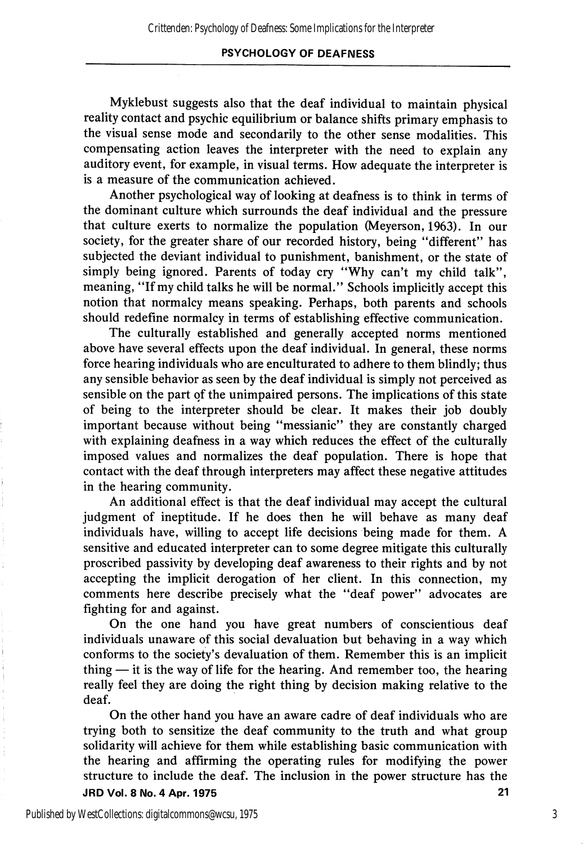Myklebust suggests also that the deaf individual to maintain physical reality contact and psychic equilibrium or balance shifts primary emphasis to the visual sense mode and secondarily to the other sense modalities. This compensating action leaves the interpreter with the need to explain any auditory event, for example, in visual terms. How adequate the interpreter is is a measure of the communication achieved.

Another psychological way of looking at deafness is to think in terms of the dominant culture which surrounds the deaf individual and the pressure that culture exerts to normalize the population (Meyerson, 1963). In our society, for the greater share of our recorded history, being "different" has subjected the deviant individual to punishment, banishment, or the state of simply being ignored. Parents of today cry "Why can't my child talk", meaning, "If my child talks he will be normal." Schools implicitly accept this notion that normalcy means speaking. Perhaps, both parents and schools should redefine normalcy in terms of establishing effective communication.

The culturally established and generally accepted norms mentioned above have several effects upon the deaf individual. In general, these norms force hearing individuals who are enculturated to adhere to them blindly; thus any sensible behavior as seen by the deaf individual is simply not perceived as sensible on the part of the unimpaired persons. The implications of this state of being to the interpreter should be clear. It makes their job doubly important because without being "messianic" they are constantly charged with explaining deafness in a way which reduces the effect of the culturally imposed values and normalizes the deaf population. There is hope that contact with the deaf through interpreters may affect these negative attitudes in the hearing community.

An additional effect is that the deaf individual may accept the cultural judgment of ineptitude. If he does then he will behave as many deaf individuals have, willing to accept life decisions being made for them. A sensitive and educated interpreter can to some degree mitigate this culturally proscribed passivity by developing deaf awareness to their rights and by not accepting the implicit derogation of her client. In this connection, my comments here describe precisely what the "deaf power" advocates are fighting for and against.

On the one hand you have great numbers of conscientious deaf individuals unaware of this social devaluation but behaving in a way which conforms to the society's devaluation of them. Remember this is an implicit thing — it is the way of life for the hearing. And remember too, the hearing really feel they are doing the right thing by decision making relative to the deaf.

On the other hand you have an aware cadre of deaf individuals who are trying both to sensitize the deaf community to the truth and what group solidarity will achieve for them while establishing basic communication with the hearing and affirming the operating rules for modifying the power structure to include the deaf. The inclusion in the power structure has the JRDVol. 8No.4Apr. 1975 21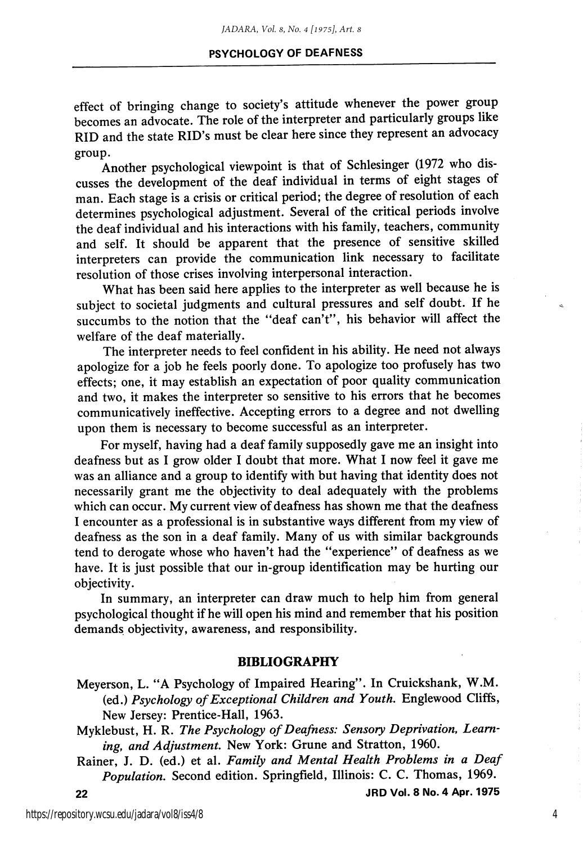effect of bringing change to society's attitude whenever the power group becomes an advocate. The role of the interpreter and particularly groups like RID and the state RID's must be clear here since they represent an advocacy group.

Another psychological viewpoint is that of Schlesinger (1972 who dis cusses the development of the deaf individual in terms of eight stages of man. Each stage is a crisis or critical period; the degree of resolution of each determines psychological adjustment. Several of the critical periods involve the deaf individual and his interactions with his family, teachers, community and self. It should be apparent that the presence of sensitive skilled interpreters can provide the communication link necessary to facilitate resolution of those crises involving interpersonal interaction.

What has been said here applies to the interpreter as well because he is subject to societal judgments and cultural pressures and self doubt. If he succumbs to the notion that the "deaf can't", his behavior will affect the welfare of the deaf materially.

The interpreter needs to feel confident in his ability. He need not always apologize for a job he feels poorly done. To apologize too profusely has two effects; one, it may establish an expectation of poor quality communication and two, it makes the interpreter so sensitive to his errors that he becomes communicatively ineffective. Accepting errors to a degree and not dwelling upon them is necessary to become successful as an interpreter.

For myself, having had a deaf family supposedly gave me an insight into deafness but as I grow older I doubt that more. What I now feel it gave me was an alliance and a group to identify with but having that identity does not necessarily grant me the objectivity to deal adequately with the problems which can occur. My current view of deafness has shown me that the deafness I encounter as a professional is in substantive ways different from my view of deafness as the son in a deaf family. Many of us with similar backgrounds tend to derogate whose who haven't had the "experience" of deafness as we have. It is just possible that our in-group identification may be hurting our objectivity.

In summary, an interpreter can draw much to help him from general psychological thought if he will open his mind and remember that his position demands objectivity, awareness, and responsibility.

#### BIBLIOGRAPHY

Meyerson, L. "A Psychology of Impaired Hearing". In Cruickshank, W.M. (ed.) Psychology of Exceptional Children and Youth. Englewood Cliffs, New Jersey: Prentice-Hall, 1963.

- Myklebust, H. R. The Psychology of Deafness: Sensory Deprivation, Learn ing, and Adjustment. New York: Grune and Stratton, 1960.
- Rainer, J. D. (ed.) et al. Family and Mental Health Problems in a Deaf Population. Second edition. Springfield, Illinois: C. C. Thomas, 1969.